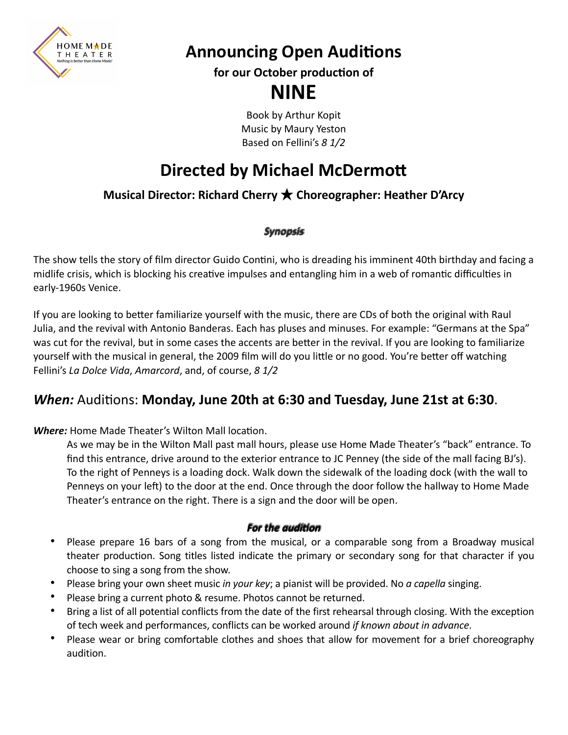

**Announcing Open Auditions**

**for our October production of**

# **NINE**

Book by Arthur Kopit Music by Maury Yeston Based on Fellini's *8 1/2*

# **Directed by Michael McDermott**

## **Musical Director: Richard Cherry ★ Choreographer: Heather D'Arcy**

### *Synopsis*

The show tells the story of film director Guido Contini, who is dreading his imminent 40th birthday and facing a midlife crisis, which is blocking his creative impulses and entangling him in a web of romantic difficulties in early-1960s Venice.

If you are looking to better familiarize yourself with the music, there are CDs of both the original with Raul Julia, and the revival with Antonio Banderas. Each has pluses and minuses. For example: "Germans at the Spa" was cut for the revival, but in some cases the accents are better in the revival. If you are looking to familiarize yourself with the musical in general, the 2009 film will do you little or no good. You're better off watching Fellini's *La Dolce Vida*, *Amarcord*, and, of course, *8 1/2*

## *When:* Auditions: **Monday, June 20th at 6:30 and Tuesday, June 21st at 6:30**.

*Where:* Home Made Theater's Wilton Mall location.

As we may be in the Wilton Mall past mall hours, please use Home Made Theater's "back" entrance. To find this entrance, drive around to the exterior entrance to JC Penney (the side of the mall facing BJ's). To the right of Penneys is a loading dock. Walk down the sidewalk of the loading dock (with the wall to Penneys on your left) to the door at the end. Once through the door follow the hallway to Home Made Theater's entrance on the right. There is a sign and the door will be open.

### **For the audition**

- Please prepare 16 bars of a song from the musical, or a comparable song from a Broadway musical theater production. Song titles listed indicate the primary or secondary song for that character if you choose to sing a song from the show.
- Please bring your own sheet music *in your key*; a pianist will be provided. No *a capella* singing.
- Please bring a current photo & resume. Photos cannot be returned.
- Bring a list of all potential conflicts from the date of the first rehearsal through closing. With the exception of tech week and performances, conflicts can be worked around *if known about in advance*.
- Please wear or bring comfortable clothes and shoes that allow for movement for a brief choreography audition.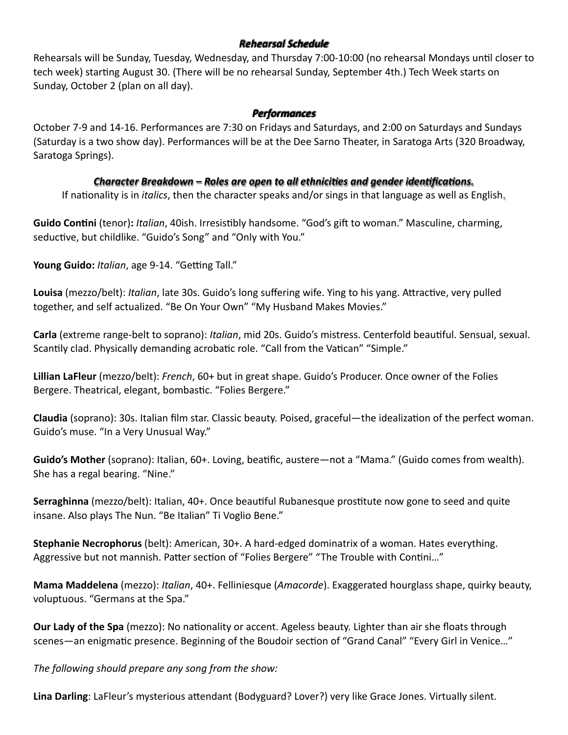#### *Rehearsal Schedule*

Rehearsals will be Sunday, Tuesday, Wednesday, and Thursday 7:00-10:00 (no rehearsal Mondays until closer to tech week) starting August 30. (There will be no rehearsal Sunday, September 4th.) Tech Week starts on Sunday, October 2 (plan on all day).

#### *Performances*

October 7-9 and 14-16. Performances are 7:30 on Fridays and Saturdays, and 2:00 on Saturdays and Sundays (Saturday is a two show day). Performances will be at the Dee Sarno Theater, in Saratoga Arts (320 Broadway, Saratoga Springs).

### *Character Breakdown – Roles are open to all ethnici es and gender iden ca ons.*

If nationality is in *italics*, then the character speaks and/or sings in that language as well as English.

**Guido Contini** (tenor)**:** *Italian*, 40ish. Irresistibly handsome. "God's gift to woman." Masculine, charming, seductive, but childlike. "Guido's Song" and "Only with You."

**Young Guido:** *Italian*, age 9-14. "Getting Tall."

**Louisa** (mezzo/belt): *Italian*, late 30s. Guido's long suffering wife. Ying to his yang. Attractive, very pulled together, and self actualized. "Be On Your Own" "My Husband Makes Movies."

**Carla** (extreme range-belt to soprano): *Italian*, mid 20s. Guido's mistress. Centerfold beautiful. Sensual, sexual. Scantily clad. Physically demanding acrobatic role. "Call from the Vatican" "Simple."

**Lillian LaFleur** (mezzo/belt): *French*, 60+ but in great shape. Guido's Producer. Once owner of the Folies Bergere. Theatrical, elegant, bombastic. "Folies Bergere."

**Claudia** (soprano): 30s. Italian film star. Classic beauty. Poised, graceful—the idealization of the perfect woman. Guido's muse. "In a Very Unusual Way."

**Guido's Mother** (soprano): Italian, 60+. Loving, beatific, austere—not a "Mama." (Guido comes from wealth). She has a regal bearing. "Nine."

**Serraghinna** (mezzo/belt): Italian, 40+. Once beautiful Rubanesque prostitute now gone to seed and quite insane. Also plays The Nun. "Be Italian" Ti Voglio Bene."

**Stephanie Necrophorus** (belt): American, 30+. A hard-edged dominatrix of a woman. Hates everything. Aggressive but not mannish. Patter section of "Folies Bergere" "The Trouble with Contini…"

**Mama Maddelena** (mezzo): *Italian*, 40+. Felliniesque (*Amacorde*). Exaggerated hourglass shape, quirky beauty, voluptuous. "Germans at the Spa."

**Our Lady of the Spa** (mezzo): No nationality or accent. Ageless beauty. Lighter than air she floats through scenes—an enigmatic presence. Beginning of the Boudoir section of "Grand Canal" "Every Girl in Venice…"

*The following should prepare any song from the show:*

**Lina Darling**: LaFleur's mysterious attendant (Bodyguard? Lover?) very like Grace Jones. Virtually silent.